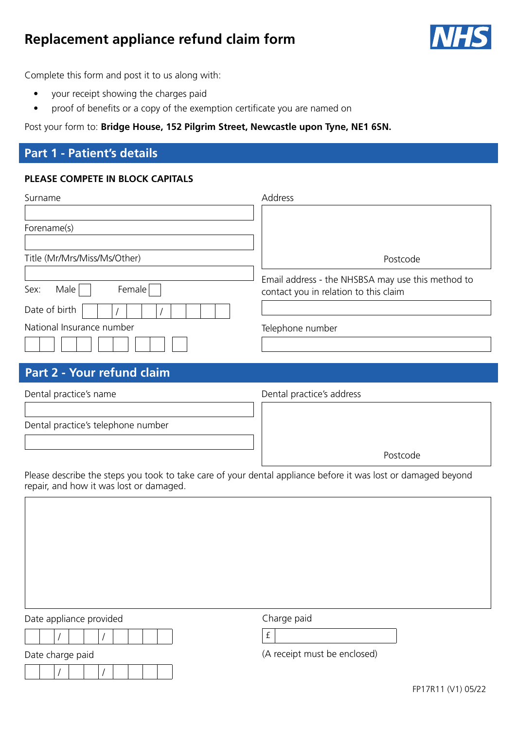# **Replacement appliance refund claim form**



Complete this form and post it to us along with:

- your receipt showing the charges paid
- proof of benefits or a copy of the exemption certificate you are named on

Post your form to: **Bridge House, 152 Pilgrim Street, Newcastle upon Tyne, NE1 6SN.** 

## **Part 1 - Patient's details**

## **PLEASE COMPETE IN BLOCK CAPITALS**

| Surname                      | Address                                                                                    |
|------------------------------|--------------------------------------------------------------------------------------------|
|                              |                                                                                            |
| Forename(s)                  |                                                                                            |
|                              |                                                                                            |
| Title (Mr/Mrs/Miss/Ms/Other) | Postcode                                                                                   |
| Male<br>Sex:<br>Female       | Email address - the NHSBSA may use this method to<br>contact you in relation to this claim |
| Date of birth                |                                                                                            |
| National Insurance number    | Telephone number                                                                           |
|                              |                                                                                            |

## **Part 2 - Your refund claim**

| Dental practice's name             | Dental practice's address |
|------------------------------------|---------------------------|
|                                    |                           |
| Dental practice's telephone number |                           |
|                                    |                           |
|                                    | Postcode                  |

Please describe the steps you took to take care of your dental appliance before it was lost or damaged beyond repair, and how it was lost or damaged.

Date appliance provided and charge paid / / £ Date charge paid and the contract of the charge paid (A receipt must be enclosed) / /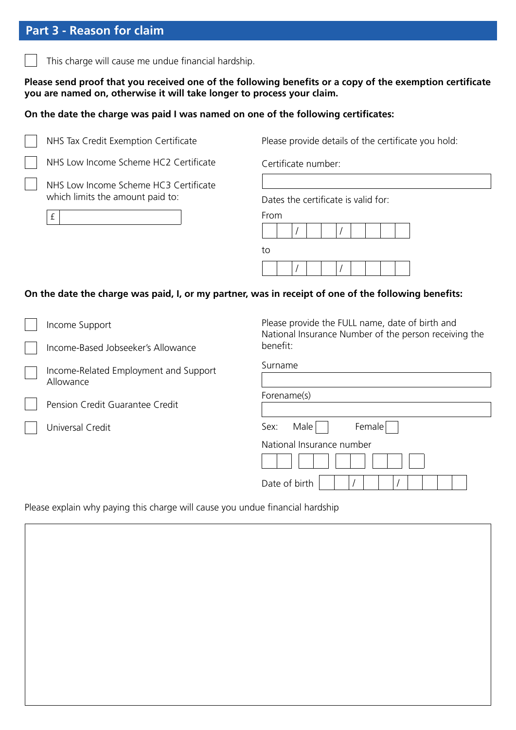## **Part 3 - Reason for claim**

This charge will cause me undue financial hardship.

### Please send proof that you received one of the following benefits or a copy of the exemption certificate **you are named on, otherwise it will take longer to process your claim.**

#### **On the date the charge was paid I was named on one of the following certifcates:**



NHS Tax Credit Exemption Certificate

NHS Low Income Scheme HC2 Certificate

NHS Low Income Scheme HC3 Certificate which limits the amount paid to:

£

Please provide details of the certificate you hold:

Certificate number:

Dates the certificate is valid for:

From





### **On the date the charge was paid, I, or my partner, was in receipt of one of the following benefts:**

- Income Support
- Income-Based Jobseeker's Allowance
- Income-Related Employment and Support Allowance

Pension Credit Guarantee Credit

Universal Credit

Please provide the FULL name, date of birth and National Insurance Number of the person receiving the benefit:

| Surname                    |
|----------------------------|
|                            |
| Forename(s)                |
|                            |
| Female<br>Male $ $<br>Sex: |
| National Insurance number  |
|                            |
| Date of birth              |

Please explain why paying this charge will cause you undue financial hardship